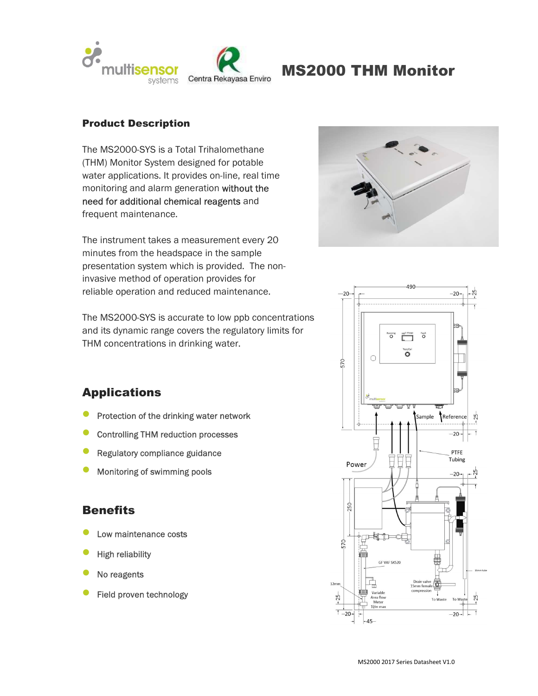

# MS2000 THM Monitor

## Product Description

The MS2000-SYS is a Total Trihalomethane (THM) Monitor System designed for potable water applications. It provides on-line, real time monitoring and alarm generation without the need for additional chemical reagents and frequent maintenance.

The instrument takes a measurement every 20 minutes from the headspace in the sample presentation system which is provided. The noninvasive method of operation provides for reliable operation and reduced maintenance.

The MS2000-SYS is accurate to low ppb concentrations and its dynamic range covers the regulatory limits for THM concentrations in drinking water.



# Applications

- Protection of the drinking water network
- Controlling THM reduction processes
- Regulatory compliance guidance
- Monitoring of swimming pools

## **Benefits**

- Low maintenance costs
- High reliability
- No reagents
- Field proven technology